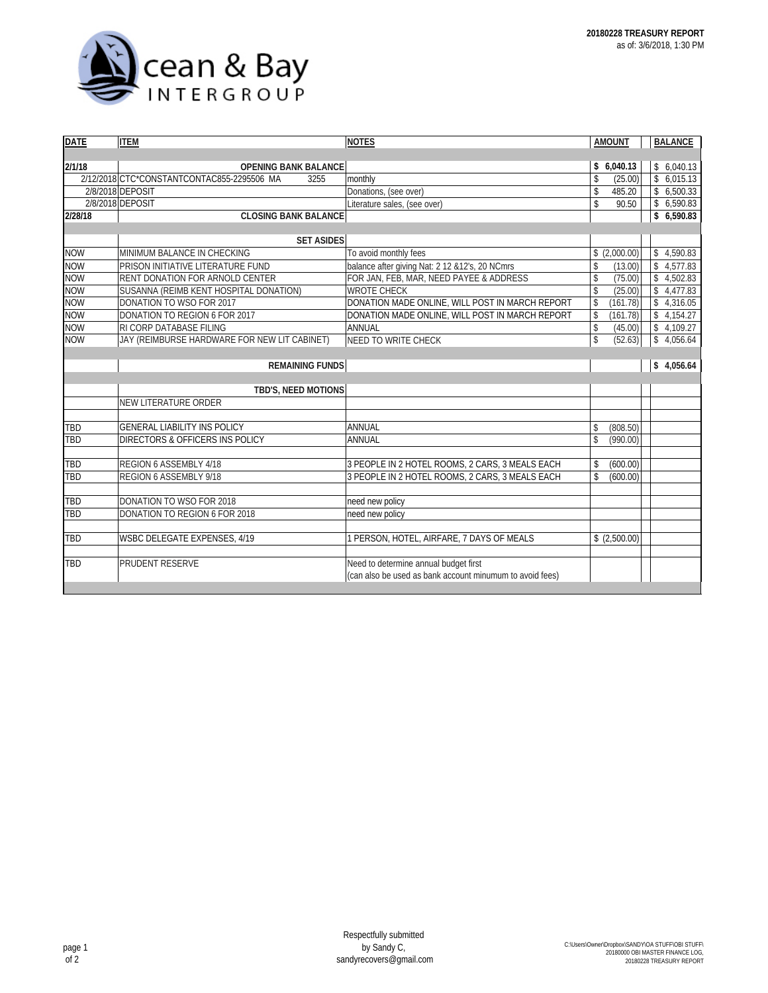

| <b>DATE</b> | <b>ITEM</b>                                        | <b>NOTES</b>                                             |                         | <b>AMOUNT</b> | <b>BALANCE</b> |
|-------------|----------------------------------------------------|----------------------------------------------------------|-------------------------|---------------|----------------|
|             |                                                    |                                                          |                         |               |                |
| 2/1/18      | <b>OPENING BANK BALANCE</b>                        |                                                          |                         | \$6,040.13    | \$6,040.13     |
|             | 2/12/2018 CTC*CONSTANTCONTAC855-2295506 MA<br>3255 | monthly                                                  | \$                      | (25.00)       | \$6,015.13     |
|             | 2/8/2018 DEPOSIT                                   | Donations, (see over)                                    | \$                      | 485.20        | \$6,500.33     |
|             | 2/8/2018 DEPOSIT                                   | Literature sales, (see over)                             | \$                      | 90.50         | \$6,590.83     |
| 2/28/18     | <b>CLOSING BANK BALANCE</b>                        |                                                          |                         |               | \$6,590.83     |
|             |                                                    |                                                          |                         |               |                |
|             | <b>SET ASIDES</b>                                  |                                                          |                         |               |                |
| <b>NOW</b>  | MINIMUM BALANCE IN CHECKING                        | To avoid monthly fees                                    |                         | \$(2,000.00)  | \$4,590.83     |
| <b>NOW</b>  | PRISON INITIATIVE LITERATURE FUND                  | balance after giving Nat: 2 12 & 12's, 20 NCmrs          | \$                      | (13.00)       | \$4,577.83     |
| <b>NOW</b>  | RENT DONATION FOR ARNOLD CENTER                    | FOR JAN, FEB, MAR, NEED PAYEE & ADDRESS                  | \$                      | (75.00)       | \$4,502.83     |
| <b>NOW</b>  | SUSANNA (REIMB KENT HOSPITAL DONATION)             | <b>WROTE CHECK</b>                                       | \$                      | (25.00)       | \$4,477.83     |
| <b>NOW</b>  | DONATION TO WSO FOR 2017                           | DONATION MADE ONLINE, WILL POST IN MARCH REPORT          | \$                      | (161.78)      | \$4,316.05     |
| <b>NOW</b>  | DONATION TO REGION 6 FOR 2017                      | DONATION MADE ONLINE, WILL POST IN MARCH REPORT          | \$                      | (161.78)      | \$<br>4,154.27 |
| <b>NOW</b>  | RI CORP DATABASE FILING                            | ANNUAL                                                   | $\sqrt[6]{\frac{1}{2}}$ | (45.00)       | \$<br>4,109.27 |
| <b>NOW</b>  | JAY (REIMBURSE HARDWARE FOR NEW LIT CABINET)       | <b>NEED TO WRITE CHECK</b>                               | \$                      | (52.63)       | \$<br>4,056.64 |
|             |                                                    |                                                          |                         |               |                |
|             | <b>REMAINING FUNDS</b>                             |                                                          |                         |               | \$<br>4,056.64 |
|             |                                                    |                                                          |                         |               |                |
|             | TBD'S, NEED MOTIONS                                |                                                          |                         |               |                |
|             | <b>NEW LITERATURE ORDER</b>                        |                                                          |                         |               |                |
|             |                                                    |                                                          |                         |               |                |
| <b>TBD</b>  | <b>GENERAL LIABILITY INS POLICY</b>                | ANNUAL                                                   | \$                      | (808.50)      |                |
| TBD         | DIRECTORS & OFFICERS INS POLICY                    | <b>ANNUAL</b>                                            | \$                      | (990.00)      |                |
|             |                                                    |                                                          |                         |               |                |
| TBD         | REGION 6 ASSEMBLY 4/18                             | 3 PEOPLE IN 2 HOTEL ROOMS, 2 CARS, 3 MEALS EACH          | \$                      | (600.00)      |                |
| TBD         | REGION 6 ASSEMBLY 9/18                             | 3 PEOPLE IN 2 HOTEL ROOMS, 2 CARS, 3 MEALS EACH          | \$                      | (600.00)      |                |
|             |                                                    |                                                          |                         |               |                |
| TBD         | DONATION TO WSO FOR 2018                           | need new policy                                          |                         |               |                |
| TBD         | DONATION TO REGION 6 FOR 2018                      | need new policy                                          |                         |               |                |
|             |                                                    |                                                          |                         |               |                |
| TBD         | WSBC DELEGATE EXPENSES, 4/19                       | PERSON, HOTEL, AIRFARE, 7 DAYS OF MEALS                  |                         | \$(2,500.00)  |                |
|             |                                                    |                                                          |                         |               |                |
| <b>TBD</b>  | PRUDENT RESERVE                                    | Need to determine annual budget first                    |                         |               |                |
|             |                                                    | (can also be used as bank account minumum to avoid fees) |                         |               |                |